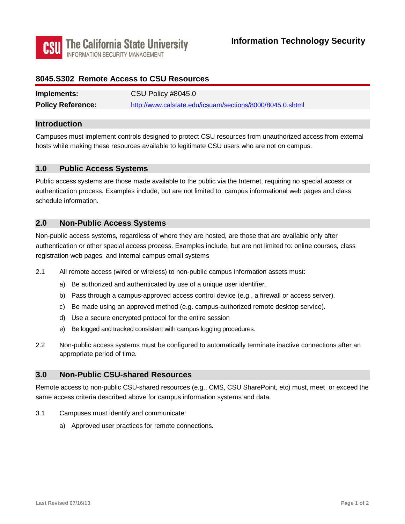

### **8045.S302 Remote Access to CSU Resources**

| Implements:              | CSU Policy #8045.0                                        |
|--------------------------|-----------------------------------------------------------|
| <b>Policy Reference:</b> | http://www.calstate.edu/icsuam/sections/8000/8045.0.shtml |

#### **Introduction**

Campuses must implement controls designed to protect CSU resources from unauthorized access from external hosts while making these resources available to legitimate CSU users who are not on campus.

#### **1.0 Public Access Systems**

Public access systems are those made available to the public via the Internet, requiring no special access or authentication process. Examples include, but are not limited to: campus informational web pages and class schedule information.

#### **2.0 Non-Public Access Systems**

registration web pages, and internal campus email systems Non-public access systems, regardless of where they are hosted, are those that are available only after authentication or other special access process. Examples include, but are not limited to: online courses, class

- 2.1 All remote access (wired or wireless) to non-public campus information assets must:
	- a) Be authorized and authenticated by use of a unique user identifier.
	- b) Pass through a campus-approved access control device (e.g., a firewall or access server).
	- c) Be made using an approved method (e.g. campus-authorized remote desktop service).
	- d) Use a secure encrypted protocol for the entire session
	- e) Be logged and tracked consistent with campus logging procedures.
- 2.2 Non-public access systems must be configured to automatically terminate inactive connections after an appropriate period of time.

#### **3.0 Non-Public CSU-shared Resources**

Remote access to non-public CSU-shared resources (e.g., CMS, CSU SharePoint, etc) must, meet or exceed the same access criteria described above for campus information systems and data.

- 3.1 Campuses must identify and communicate:
	- a) Approved user practices for remote connections.